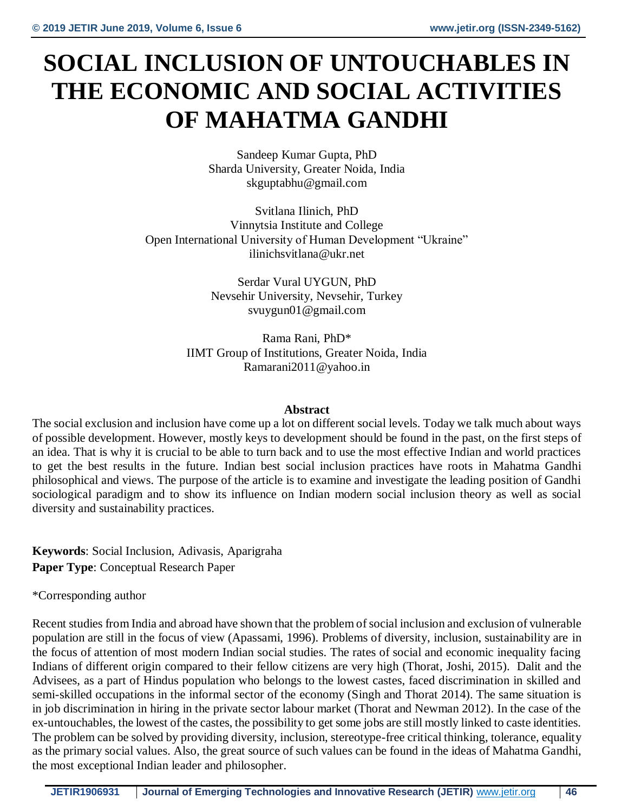## **SOCIAL INCLUSION OF UNTOUCHABLES IN THE ECONOMIC AND SOCIAL ACTIVITIES OF MAHATMA GANDHI**

Sandeep Kumar Gupta, PhD Sharda University, Greater Noida, India skguptabhu@gmail.com

Svitlana Ilinich, PhD Vinnytsia Institute and College Open International University of Human Development "Ukraine" [ilinichsvitlana@ukr.net](mailto:ilinichsvitlana@ukr.net)

> Serdar Vural UYGUN, PhD Nevsehir University, Nevsehir, Turkey [svuygun01@gmail.com](mailto:svuygun01@gmail.com)

Rama Rani, PhD\* IIMT Group of Institutions, Greater Noida, India Ramarani2011@yahoo.in

## **Abstract**

The social exclusion and inclusion have come up a lot on different social levels. Today we talk much about ways of possible development. However, mostly keys to development should be found in the past, on the first steps of an idea. That is why it is crucial to be able to turn back and to use the most effective Indian and world practices to get the best results in the future. Indian best social inclusion practices have roots in Mahatma Gandhi philosophical and views. The purpose of the article is to examine and investigate the leading position of Gandhi sociological paradigm and to show its influence on Indian modern social inclusion theory as well as social diversity and sustainability practices.

**Keywords**: Social Inclusion, Adivasis, Aparigraha **Paper Type**: Conceptual Research Paper

\*Corresponding author

Recent studies from India and abroad have shown that the problem of social inclusion and exclusion of vulnerable population are still in the focus of view (Apassami, 1996). Problems of diversity, inclusion, sustainability are in the focus of attention of most modern Indian social studies. The rates of social and economic inequality facing Indians of different origin compared to their fellow citizens are very high (Thorat, Joshi, 2015). Dalit and the Advisees, as a part of Hindus population who belongs to the lowest castes, faced discrimination in skilled and semi-skilled occupations in the informal sector of the economy (Singh and Thorat 2014). The same situation is in job discrimination in hiring in the private sector labour market (Thorat and Newman 2012). In the case of the ex-untouchables, the lowest of the castes, the possibility to get some jobs are still mostly linked to caste identities. The problem can be solved by providing diversity, inclusion, stereotype-free critical thinking, tolerance, equality as the primary social values. Also, the great source of such values can be found in the ideas of Mahatma Gandhi, the most exceptional Indian leader and philosopher.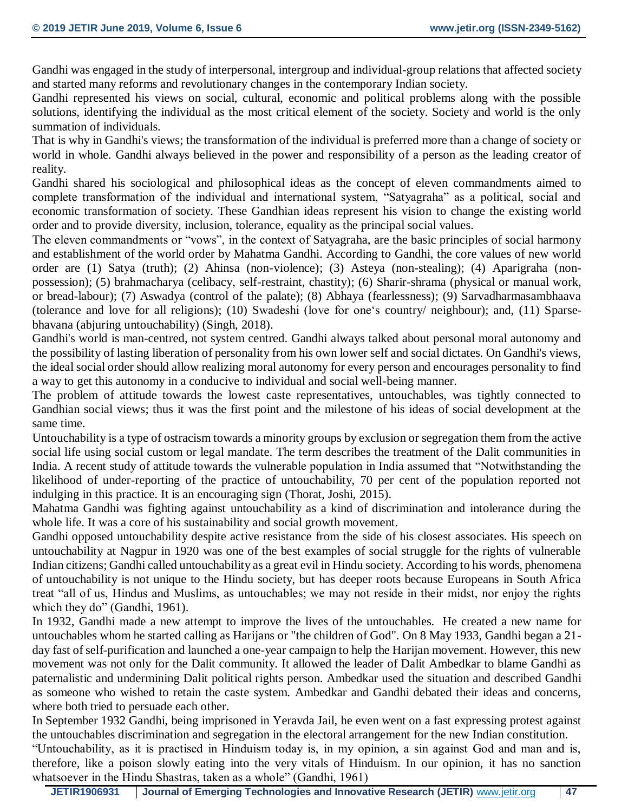Gandhi was engaged in the study of interpersonal, intergroup and individual-group relations that affected society and started many reforms and revolutionary changes in the contemporary Indian society.

Gandhi represented his views on social, cultural, economic and political problems along with the possible solutions, identifying the individual as the most critical element of the society. Society and world is the only summation of individuals.

That is why in Gandhi's views; the transformation of the individual is preferred more than a change of society or world in whole. Gandhi always believed in the power and responsibility of a person as the leading creator of reality.

Gandhi shared his sociological and philosophical ideas as the concept of eleven commandments aimed to complete transformation of the individual and international system, "Satyagraha" as a political, social and economic transformation of society. These Gandhian ideas represent his vision to change the existing world order and to provide diversity, inclusion, tolerance, equality as the principal social values.

The eleven commandments or "vows", in the context of Satyagraha, are the basic principles of social harmony and establishment of the world order by Mahatma Gandhi. According to Gandhi, the core values of new world order are (1) Satya (truth); (2) Ahinsa (non-violence); (3) Asteya (non-stealing); (4) Aparigraha (nonpossession); (5) brahmacharya (celibacy, self-restraint, chastity); (6) Sharir-shrama (physical or manual work, or bread-labour); (7) Aswadya (control of the palate); (8) Abhaya (fearlessness); (9) Sarvadharmasambhaava (tolerance and love for all religions); (10) Swadeshi (love for one's country/ neighbour); and, (11) Sparsebhavana (abjuring untouchability) (Singh, 2018).

Gandhi's world is man-centred, not system centred. Gandhi always talked about personal moral autonomy and the possibility of lasting liberation of personality from his own lower self and social dictates. On Gandhi's views, the ideal social order should allow realizing moral autonomy for every person and encourages personality to find a way to get this autonomy in a conducive to individual and social well-being manner.

The problem of attitude towards the lowest caste representatives, untouchables, was tightly connected to Gandhian social views; thus it was the first point and the milestone of his ideas of social development at the same time.

Untouchability is a type of ostracism towards a minority groups by exclusion or segregation them from the active social life using social custom or legal mandate. The term describes the treatment of the Dalit communities in India. A recent study of attitude towards the vulnerable population in India assumed that "Notwithstanding the likelihood of under-reporting of the practice of untouchability, 70 per cent of the population reported not indulging in this practice. It is an encouraging sign (Thorat, Joshi, 2015).

Mahatma Gandhi was fighting against untouchability as a kind of discrimination and intolerance during the whole life. It was a core of his sustainability and social growth movement.

Gandhi opposed untouchability despite active resistance from the side of his closest associates. His speech on untouchability at Nagpur in 1920 was one of the best examples of social struggle for the rights of vulnerable Indian citizens; Gandhi called untouchability as a great evil in Hindu society. According to his words, phenomena of untouchability is not unique to the Hindu society, but has deeper roots because Europeans in South Africa treat "all of us, Hindus and Muslims, as untouchables; we may not reside in their midst, nor enjoy the rights which they do" (Gandhi, 1961).

In 1932, Gandhi made a new attempt to improve the lives of the untouchables. He created a new name for untouchables whom he started calling as Harijans or "the children of God". On 8 May 1933, Gandhi began a 21 day fast of self-purification and launched a one-year campaign to help the Harijan movement. However, this new movement was not only for the Dalit community. It allowed the leader of Dalit Ambedkar to blame Gandhi as paternalistic and undermining Dalit political rights person. Ambedkar used the situation and described Gandhi as someone who wished to retain the caste system. Ambedkar and Gandhi debated their ideas and concerns, where both tried to persuade each other.

In September 1932 Gandhi, being imprisoned in Yeravda Jail, he even went on a fast expressing protest against the untouchables discrimination and segregation in the electoral arrangement for the new Indian constitution.

"Untouchability, as it is practised in Hinduism today is, in my opinion, a sin against God and man and is, therefore, like a poison slowly eating into the very vitals of Hinduism. In our opinion, it has no sanction whatsoever in the Hindu Shastras, taken as a whole" (Gandhi, 1961)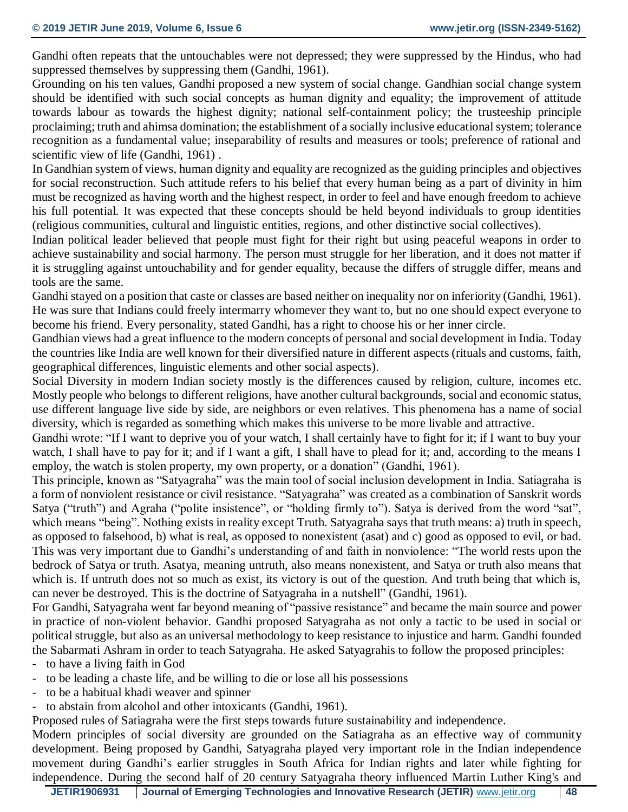Gandhi often repeats that the untouchables were not depressed; they were suppressed by the Hindus, who had suppressed themselves by suppressing them (Gandhi, 1961).

Grounding on his ten values, Gandhi proposed a new system of social change. Gandhian social change system should be identified with such social concepts as human dignity and equality; the improvement of attitude towards labour as towards the highest dignity; national self-containment policy; the trusteeship principle proclaiming; truth and ahimsa domination; the establishment of a socially inclusive educational system; tolerance recognition as a fundamental value; inseparability of results and measures or tools; preference of rational and scientific view of life (Gandhi, 1961) .

In Gandhian system of views, human dignity and equality are recognized as the guiding principles and objectives for social reconstruction. Such attitude refers to his belief that every human being as a part of divinity in him must be recognized as having worth and the highest respect, in order to feel and have enough freedom to achieve his full potential. It was expected that these concepts should be held beyond individuals to group identities (religious communities, cultural and linguistic entities, regions, and other distinctive social collectives).

Indian political leader believed that people must fight for their right but using peaceful weapons in order to achieve sustainability and social harmony. The person must struggle for her liberation, and it does not matter if it is struggling against untouchability and for gender equality, because the differs of struggle differ, means and tools are the same.

Gandhi stayed on a position that caste or classes are based neither on inequality nor on inferiority (Gandhi, 1961). He was sure that Indians could freely intermarry whomever they want to, but no one should expect everyone to become his friend. Every personality, stated Gandhi, has a right to choose his or her inner circle.

Gandhian views had a great influence to the modern concepts of personal and social development in India. Today the countries like India are well known for their diversified nature in different aspects (rituals and customs, faith, geographical differences, linguistic elements and other social aspects).

Social Diversity in modern Indian society mostly is the differences caused by religion, culture, incomes etc. Mostly people who belongs to different religions, have another cultural backgrounds, social and economic status, use different language live side by side, are neighbors or even relatives. This phenomena has a name of social diversity, which is regarded as something which makes this universe to be more livable and attractive.

Gandhi wrote: "If I want to deprive you of your watch, I shall certainly have to fight for it; if I want to buy your watch, I shall have to pay for it; and if I want a gift, I shall have to plead for it; and, according to the means I employ, the watch is stolen property, my own property, or a donation" (Gandhi, 1961).

This principle, known as "Satyagraha" was the main tool of social inclusion development in India. Satiagraha is a form of nonviolent resistance or civil resistance. "Satyagraha" was created as a combination of Sanskrit words Satya ("truth") and Agraha ("polite insistence", or "holding firmly to"). Satya is derived from the word "sat", which means "being". Nothing exists in reality except Truth. Satyagraha says that truth means: a) truth in speech, as opposed to falsehood, b) what is real, as opposed to nonexistent (asat) and c) good as opposed to evil, or bad. This was very important due to Gandhi's understanding of and faith in nonviolence: "The world rests upon the bedrock of Satya or truth. Asatya, meaning untruth, also means nonexistent, and Satya or truth also means that which is. If untruth does not so much as exist, its victory is out of the question. And truth being that which is, can never be destroyed. This is the doctrine of Satyagraha in a nutshell" (Gandhi, 1961).

For Gandhi, Satyagraha went far beyond meaning of "passive resistance" and became the main source and power in practice of non-violent behavior. Gandhi proposed Satyagraha as not only a tactic to be used in social or political struggle, but also as an universal methodology to keep resistance to injustice and harm. Gandhi founded the Sabarmati Ashram in order to teach Satyagraha. He asked Satyagrahis to follow the proposed principles:

- to have a living faith in God
- to be leading a chaste life, and be willing to die or lose all his possessions
- to be a habitual khadi weaver and spinner
- to abstain from alcohol and other intoxicants (Gandhi, 1961).

Proposed rules of Satiagraha were the first steps towards future sustainability and independence.

Modern principles of social diversity are grounded on the Satiagraha as an effective way of community development. Being proposed by Gandhi, Satyagraha played very important role in the Indian independence movement during Gandhi's earlier struggles in South Africa for Indian rights and later while fighting for independence. During the second half of 20 century Satyagraha theory influenced Martin Luther King's and